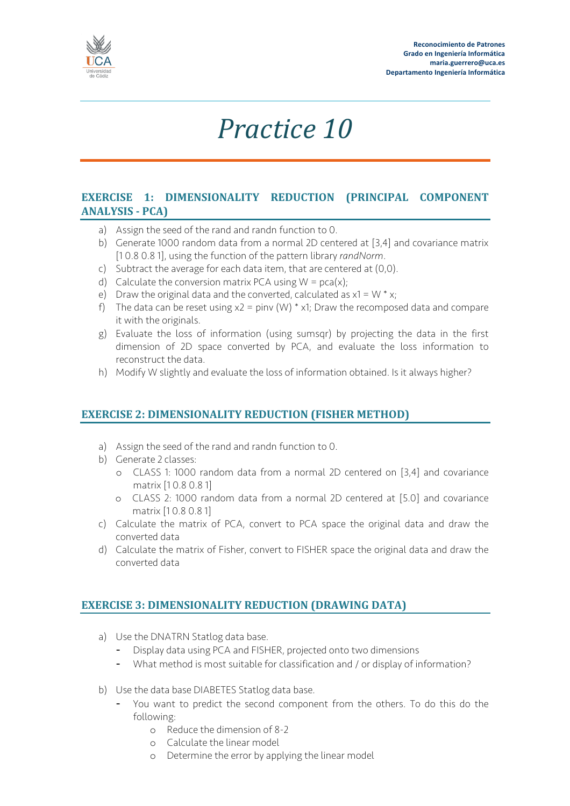

## *Practice 10*

## **EXERCISE 1: DIMENSIONALITY REDUCTION (PRINCIPAL COMPONENT ANALYSIS - PCA)**

- a) Assign the seed of the rand and randn function to 0.
- b) Generate 1000 random data from a normal 2D centered at [3,4] and covariance matrix [1 0.8 0.8 1], using the function of the pattern library *randNorm*.
- c) Subtract the average for each data item, that are centered at (0,0).
- d) Calculate the conversion matrix PCA using  $W = pca(x)$ ;
- e) Draw the original data and the converted, calculated as  $x1 = W * x$ ;
- f) The data can be reset using  $x^2 = \text{pinv (W)} * x1$ ; Draw the recomposed data and compare it with the originals.
- g) Evaluate the loss of information (using sumsqr) by projecting the data in the first dimension of 2D space converted by PCA, and evaluate the loss information to reconstruct the data.
- h) Modify W slightly and evaluate the loss of information obtained. Is it always higher?

## **EXERCISE 2: DIMENSIONALITY REDUCTION (FISHER METHOD)**

- a) Assign the seed of the rand and randn function to 0.
- b) Generate 2 classes:
	- o CLASS 1: 1000 random data from a normal 2D centered on [3,4] and covariance matrix [1 0.8 0.8 1]
	- o CLASS 2: 1000 random data from a normal 2D centered at [5.0] and covariance matrix [1 0.8 0.8 1]
- c) Calculate the matrix of PCA, convert to PCA space the original data and draw the converted data
- d) Calculate the matrix of Fisher, convert to FISHER space the original data and draw the converted data

## **EXERCISE 3: DIMENSIONALITY REDUCTION (DRAWING DATA)**

- a) Use the DNATRN Statlog data base.
	- Display data using PCA and FISHER, projected onto two dimensions
	- What method is most suitable for classification and / or display of information?
- b) Use the data base DIABETES Statlog data base.
	- You want to predict the second component from the others. To do this do the following:
		- o Reduce the dimension of 8-2
		- o Calculate the linear model
		- o Determine the error by applying the linear model